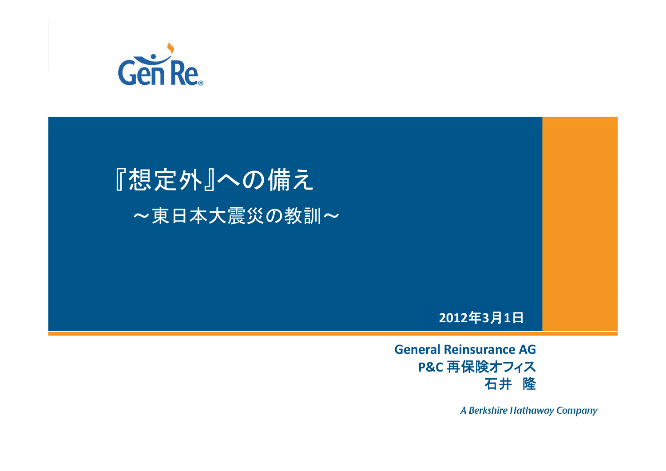

# 『想定外』への備え ~東日本大震災の教訓~

#### **2012**年**3**月**1**日

**General Reinsurance AG P&C** 再保険オフィス 石井 隆

A Berkshire Hathaway Company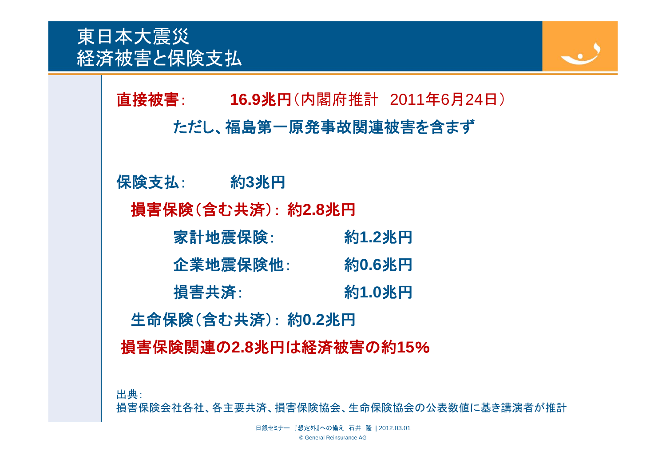### 東日本大震災 経済被害と保険支払



### 直接被害: **16.9**兆円(内閣府推計 2011年6月24日) ただし、福島第一原発事故関連被害を含まず

保険支払: 約**3**兆円

損害保険(含む共済): 約**2.8**兆円

| 家計地震保険:  | 約1.2兆円 |
|----------|--------|
| 企業地震保険他: | 約0.6兆円 |
| 損害共済:    | 約1.0兆円 |

生命保険(含む共済): 約**0.2**兆円

損害保険関連の**2 8.** 兆円は経済被害の約 **15**%

出典:

損害保険会社各社、各主要共済、損害保険協会、生命保険協会の公表数値に基き講演者が推計

日銀セミナー 『想定外』への備え 石井 隆 | 2012.03.01

© General Reinsurance AG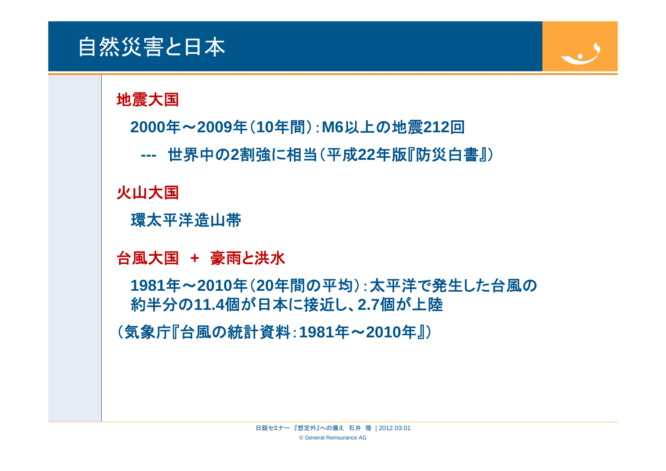## 自然災害と日本

地震大国

**2000**年~**2009**年(**10**年間):**M6**以上の地震**212**回

**---** 世界中の**2**割強に相当(平成**22**年版『防災白書』)

火山大国

環太平洋造山帯

台風大国 **<sup>+</sup>** 豪雨と洪水

**1981**年~**2010**年(**20**年間の平均):太平洋で発生した台風の 約半分の**11.4**個が日本に接近し、**2.7**個が上陸

(気象庁『台風の統計資料:**1981**年~**2010**年』)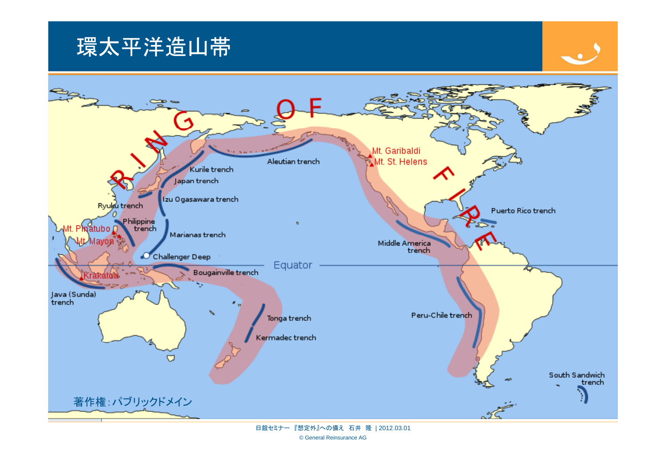### 環太平洋造山帯





日銀セミナー 『想定外』への備え 石井 隆 | 2012.03.01

© General Reinsurance AG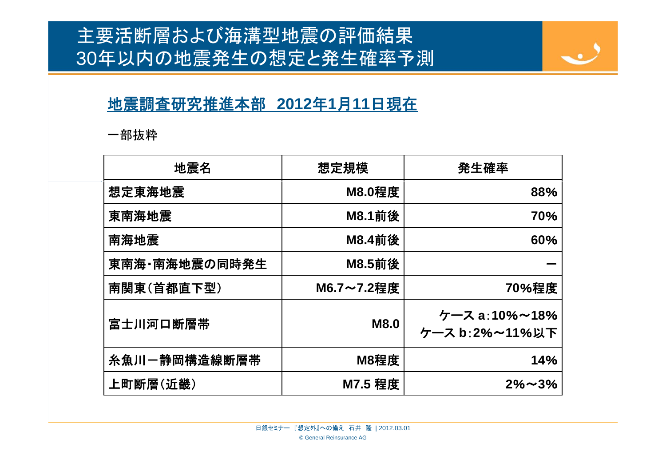### 主要活断層および海溝型地震の評価結果 30年以内の地震発生の想定と発生確率予測



#### 地震調査研究推進本部 **2012** 年 **1** 月**11**日現在

一部抜粋

| 地震名           | 想定規模        | 発生確率                                    |
|---------------|-------------|-----------------------------------------|
| 想定東海地震        | M8.0程度      | 88%                                     |
| 東南海地震         | M8.1前後      | 70%                                     |
| 南海地震          | M8.4前後      | 60%                                     |
| 東南海・南海地震の同時発生 | M8.5前後      |                                         |
| 南関東(首都直下型)    | M6.7~7.2程度  | 70%程度                                   |
| 富士川河口断層帯      | <b>M8.0</b> | $27 - 7$ a: 10% ~ 18%<br>ケース b:2%~11%以下 |
| 糸魚川一静岡構造線断層帯  | <b>M8程度</b> | 14%                                     |
| 上町断層(近畿)      | M7.5 程度     | $2\% \sim 3\%$                          |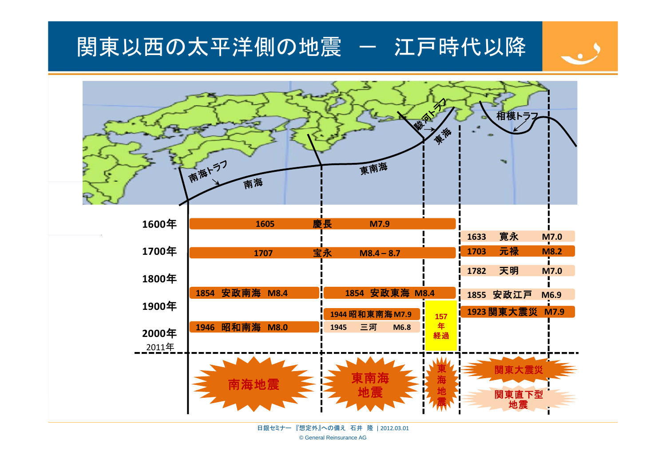### 関東以西の太平洋側の地震 ー 江戸時代以降



پ



© General Reinsurance AG 日銀セミナー 『想定外』への備え 石井 隆 | 2012.03.01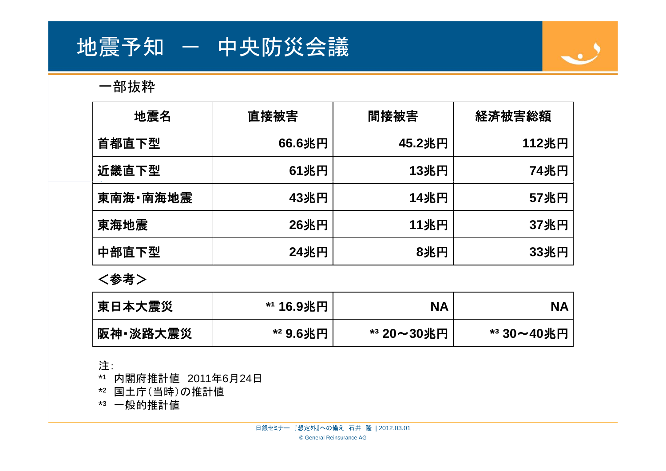## 地震予知 - 中央防災会議

一部抜粋

| 地震名      | 直接被害   | 間接被害   | 経済被害総額 |  |
|----------|--------|--------|--------|--|
| 首都直下型    | 66.6兆円 | 45.2兆円 | 112兆円  |  |
| 近畿直下型    | 61兆円   | 13兆円   | 74兆円   |  |
| 東南海·南海地震 | 43兆円   | 14兆円   | 57兆円   |  |
| 東海地震     | 26兆円   | 11兆円   | 37兆円   |  |
| 中部直下型    | 24兆円   | 8兆円    | 33兆円   |  |

 $\boldsymbol{\omega}$ 

<参考>

| 東日本大震災   | *1 16.9兆円 | <b>NA</b>  | NΑ         |
|----------|-----------|------------|------------|
| 阪神・淡路大震災 | *2 9.6兆円  | *3 20~30兆円 | *3 30~40兆円 |

注:

\*1 内閣府推計値 2011年6月24日

\*² 国土庁(当時)の推計値

\*³ 一般的推計値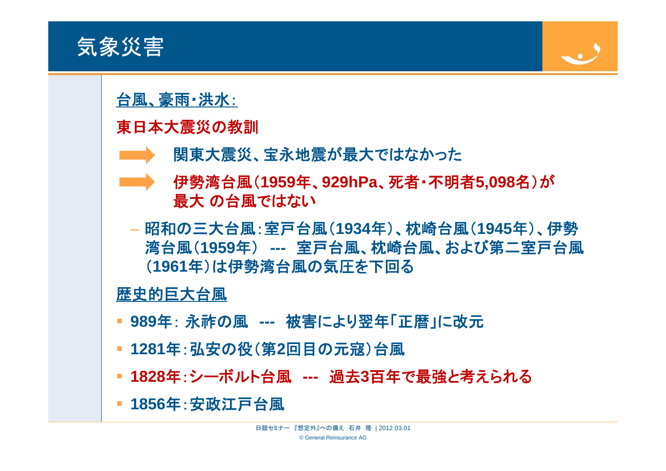

#### 台風、豪雨・洪水:

#### 東日本大震災の教訓

- 関東大震災、宝永地震が最大ではなかった
- 伊勢湾台風(**1959**年、**929hPa**、死者・不明者**5 098 ,** 名)が 最大 の台風ではない
- 昭和 風 戸 風( の三大台風:室戸台風(**1934**年)、枕崎 風( 台 **1945**年)、伊勢 湾台風(**1959**年) **---** 室戸台風、枕崎台風、および第二室戸台風 (**1961**年)は伊勢湾台風の気圧を下回る

#### 歴史的巨大台風

- **989**年: 永祚の風 **---** 被害により翌年「正暦」に改元
- **1281年:弘安の役(第2回目の元寇)台風**
- **1828**年:シーボルト台風 **---** 過去**3**百年で最強と考えられる
- **1856**年:安政江戸台風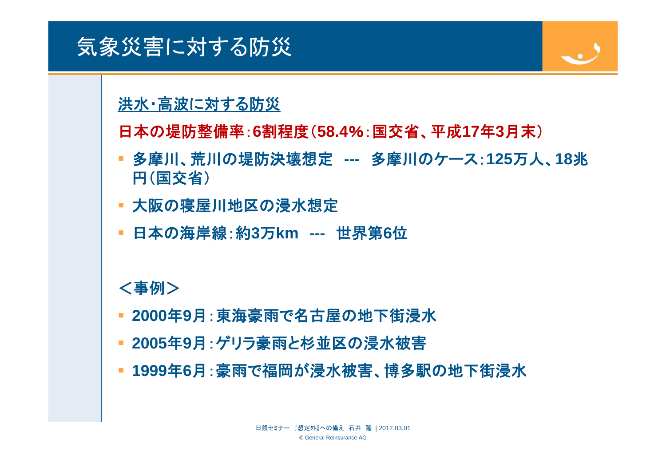## 気象災害に対する防災

洪水・高波に対する防災

日本の堤防整備率:6割程度(58.4%:国交省、平成17年3月末)

- $\blacksquare$  多摩川、荒川の堤防決壊想定 **---** 多摩川のケース:**125**万人、**18** 兆 円(国交省)
- 大阪の寝屋川地区の浸水想定
- **日本の海岸線:約3万km --- 世界第6位**

#### <事例>

- **2000** 年 **9**月:東海豪雨で名古屋の地下街浸水
- **2005** 年 **9**月:ゲリラ豪雨と杉並区の浸水被害
- **1999** 年 **6**月:豪雨で福岡が浸水被害、博多駅の地下街浸水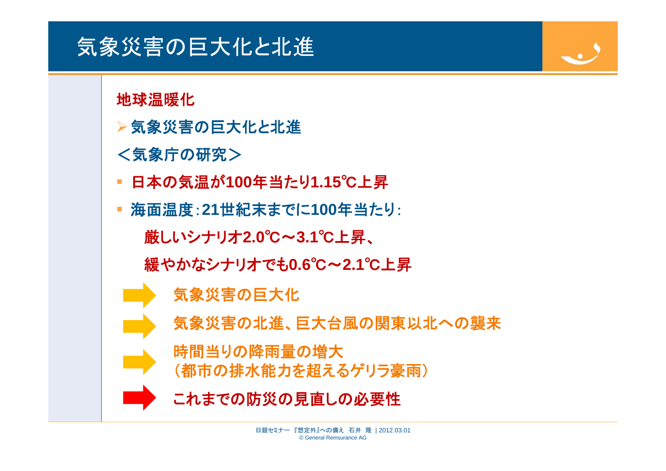## 気象災害の巨大化と北進

地球温暖化

- ▶気象災害の巨大化と北進
- <気象庁の研究>
- $\overline{\phantom{a}}$ 日本の気温が**100**年当たり**1 15 .** ℃上昇

 海面温度:**21**世紀末までに**100**年当たり: **厳しいシナリオ2.0℃~3.1℃上昇、** 緩やかなシナリオでも**0.6** ℃~**2.1** ℃上昇 気象災害の巨大化 気象災害の北進、巨大台風の関東以北への襲来 時間当りの降雨量の増大 (都市の排水能力を超えるゲリラ豪雨) これまでの防災の見直しの必要性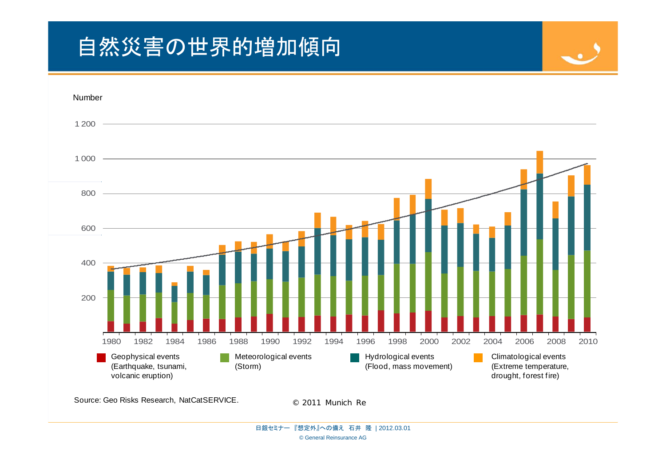## 自然災害の世界的増加傾向



Source: Geo Risks Research, NatCatSERVICE. <br>
© 2011 Munich Re

© General Reinsurance AG 日銀セミナー 『想定外』への備え 石井 隆 | 2012.03.01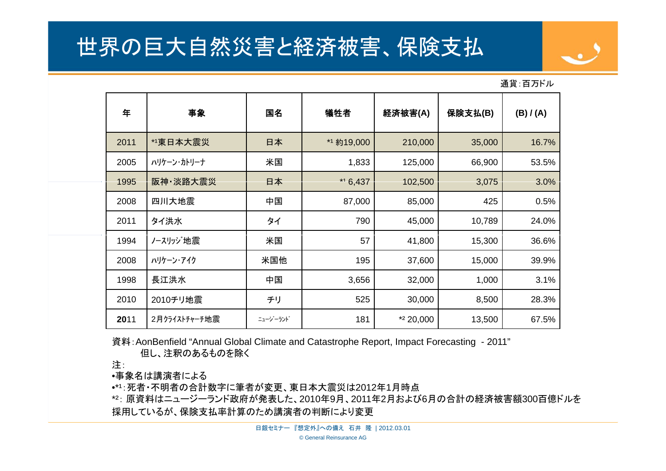## 世界の巨大自然災害と経済被害、保険支払



通貨:百万ドル

| 年    | 事象            | 国名       | 犠牲者        | 経済被害(A)   | 保険支払(B) | (B)/ (A) |
|------|---------------|----------|------------|-----------|---------|----------|
| 2011 | *1東日本大震災      | 日本       | *1 約19,000 | 210,000   | 35,000  | 16.7%    |
| 2005 | ハリケーン・カトリーナ   | 米国       | 1,833      | 125,000   | 66,900  | 53.5%    |
| 1995 | 阪神·淡路大震災      | 日本       | $*16,437$  | 102,500   | 3,075   | 3.0%     |
| 2008 | 四川大地震         | 中国       | 87,000     | 85,000    | 425     | 0.5%     |
| 2011 | タイ洪水          | タイ       | 790        | 45,000    | 10,789  | 24.0%    |
| 1994 | ノースリッジ 地震     | 米国       | 57         | 41,800    | 15,300  | 36.6%    |
| 2008 | ハリケーン・アイク     | 米国他      | 195        | 37,600    | 15,000  | 39.9%    |
| 1998 | 長江洪水          | 中国       | 3,656      | 32,000    | 1,000   | 3.1%     |
| 2010 | 2010チリ地震      | チリ       | 525        | 30,000    | 8,500   | 28.3%    |
| 2011 | 2月クライストチャーチ地震 | ニュージーランド | 181        | *2 20,000 | 13,500  | 67.5%    |

資料: AonBenfield "Annual Global Climate and Catastrophe Report, Impact Forecasting - 2011" 但し、注釈のあるものを除く

注:

•事象名は講演者による

•\*1:死者・不明者の合計数字に筆者が変更、東日本大震災は2012年1月時点

\*2: 原資料はニュージーランド政府が発表した、2010年9月、2011年2月および6月の合計の経済被害額300百億ドルを 採用しているが、保険支払率計算のため講演者の判断により変更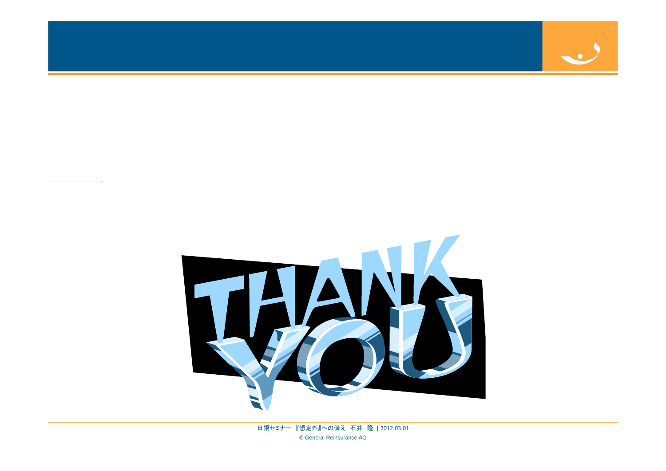



© General Reinsurance AG 日銀セミナー 『想定外』への備え 石井 隆 | 2012.03.01